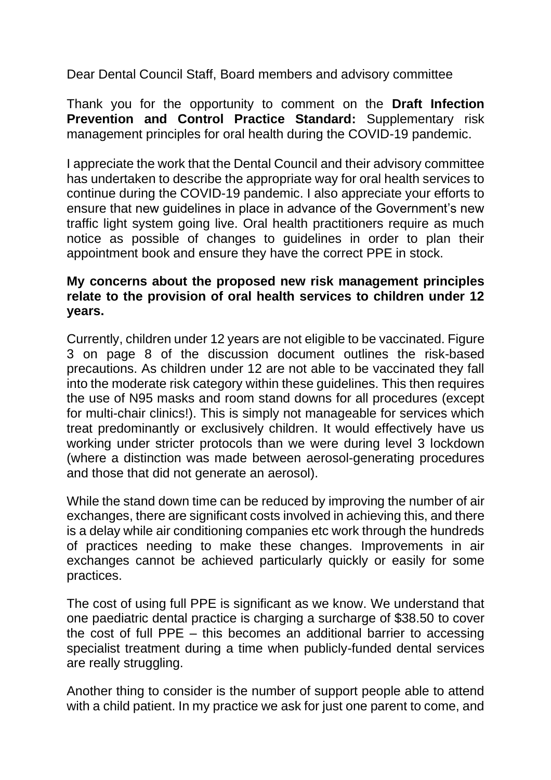Dear Dental Council Staff, Board members and advisory committee

Thank you for the opportunity to comment on the **Draft Infection Prevention and Control Practice Standard:** Supplementary risk management principles for oral health during the COVID-19 pandemic.

I appreciate the work that the Dental Council and their advisory committee has undertaken to describe the appropriate way for oral health services to continue during the COVID-19 pandemic. I also appreciate your efforts to ensure that new guidelines in place in advance of the Government's new traffic light system going live. Oral health practitioners require as much notice as possible of changes to guidelines in order to plan their appointment book and ensure they have the correct PPE in stock.

## **My concerns about the proposed new risk management principles relate to the provision of oral health services to children under 12 years.**

Currently, children under 12 years are not eligible to be vaccinated. Figure 3 on page 8 of the discussion document outlines the risk-based precautions. As children under 12 are not able to be vaccinated they fall into the moderate risk category within these guidelines. This then requires the use of N95 masks and room stand downs for all procedures (except for multi-chair clinics!). This is simply not manageable for services which treat predominantly or exclusively children. It would effectively have us working under stricter protocols than we were during level 3 lockdown (where a distinction was made between aerosol-generating procedures and those that did not generate an aerosol).

While the stand down time can be reduced by improving the number of air exchanges, there are significant costs involved in achieving this, and there is a delay while air conditioning companies etc work through the hundreds of practices needing to make these changes. Improvements in air exchanges cannot be achieved particularly quickly or easily for some practices.

The cost of using full PPE is significant as we know. We understand that one paediatric dental practice is charging a surcharge of \$38.50 to cover the cost of full PPE – this becomes an additional barrier to accessing specialist treatment during a time when publicly-funded dental services are really struggling.

Another thing to consider is the number of support people able to attend with a child patient. In my practice we ask for just one parent to come, and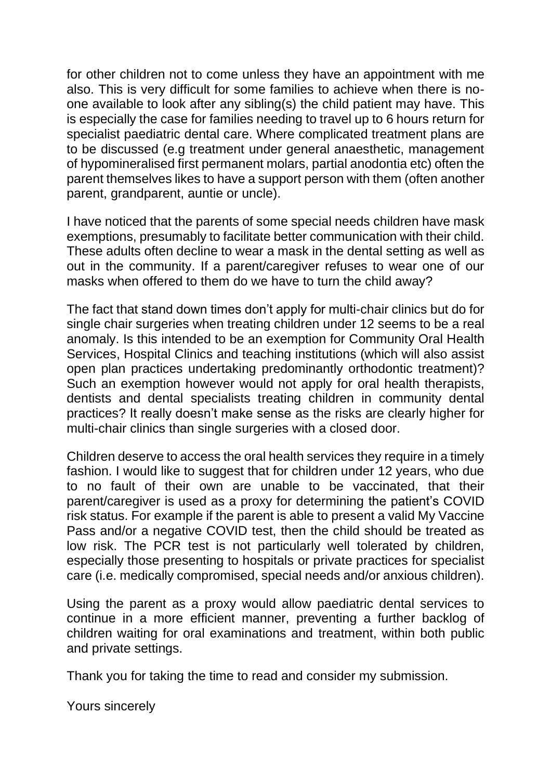for other children not to come unless they have an appointment with me also. This is very difficult for some families to achieve when there is noone available to look after any sibling(s) the child patient may have. This is especially the case for families needing to travel up to 6 hours return for specialist paediatric dental care. Where complicated treatment plans are to be discussed (e.g treatment under general anaesthetic, management of hypomineralised first permanent molars, partial anodontia etc) often the parent themselves likes to have a support person with them (often another parent, grandparent, auntie or uncle).

I have noticed that the parents of some special needs children have mask exemptions, presumably to facilitate better communication with their child. These adults often decline to wear a mask in the dental setting as well as out in the community. If a parent/caregiver refuses to wear one of our masks when offered to them do we have to turn the child away?

The fact that stand down times don't apply for multi-chair clinics but do for single chair surgeries when treating children under 12 seems to be a real anomaly. Is this intended to be an exemption for Community Oral Health Services, Hospital Clinics and teaching institutions (which will also assist open plan practices undertaking predominantly orthodontic treatment)? Such an exemption however would not apply for oral health therapists, dentists and dental specialists treating children in community dental practices? It really doesn't make sense as the risks are clearly higher for multi-chair clinics than single surgeries with a closed door.

Children deserve to access the oral health services they require in a timely fashion. I would like to suggest that for children under 12 years, who due to no fault of their own are unable to be vaccinated, that their parent/caregiver is used as a proxy for determining the patient's COVID risk status. For example if the parent is able to present a valid My Vaccine Pass and/or a negative COVID test, then the child should be treated as low risk. The PCR test is not particularly well tolerated by children, especially those presenting to hospitals or private practices for specialist care (i.e. medically compromised, special needs and/or anxious children).

Using the parent as a proxy would allow paediatric dental services to continue in a more efficient manner, preventing a further backlog of children waiting for oral examinations and treatment, within both public and private settings.

Thank you for taking the time to read and consider my submission.

Yours sincerely